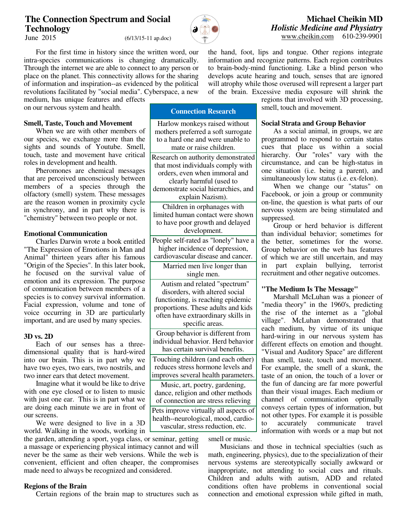# **The Connection Spectrum and Social Technology**

 $(6/13/15-11$  ap.doc)

 For the first time in history since the written word, our intra-species communications is changing dramatically. Through the internet we are able to connect to any person or place on the planet. This connectivity allows for the sharing of information and inspiration--as evidenced by the political revolutions facilitated by "social media". Cyberspace, a new

medium, has unique features and effects on our nervous system and health.

### **Smell, Taste, Touch and Movement**

When we are with other members of our species, we exchange more than the sights and sounds of Youtube. Smell, touch, taste and movement have critical roles in development and health.

 Pheromones are chemical messages that are perceived unconsciously between members of a species through the olfactory (smell) system. These messages are the reason women in proximity cycle in synchrony, and in part why there is "chemistry" between two people or not.

## **Emotional Communication**

 Charles Darwin wrote a book entitled "The Expression of Emotions in Man and Animal" thirteen years after his famous "Origin of the Species". In this later book, he focused on the survival value of emotion and its expression. The purpose of communication between members of a species is to convey survival information. Facial expression, volume and tone of voice occurring in 3D are particularly important, and are used by many species.

### **3D vs. 2D**

Each of our senses has a threedimensional quality that is hard-wired into our brain. This is in part why we have two eyes, two ears, two nostrils, and two inner ears that detect movement.

 Imagine what it would be like to drive with one eye closed or to listen to music with just one ear. This is in part what we are doing each minute we are in front of our screens.

 We were designed to live in a 3D world. Walking in the woods, working in

the garden, attending a sport, yoga class, or seminar, getting a massage or experiencing physical intimacy cannot and will never be the same as their web versions. While the web is convenient, efficient and often cheaper, the compromises made need to always be recognized and considered.

# **Regions of the Brain**

Certain regions of the brain map to structures such as

**Connection Research** 

Harlow monkeys raised without mothers preferred a soft surrogate to a hard one and were unable to mate or raise children.

Research on authority demonstrated that most individuals comply with orders, even when immoral and clearly harmful (used to demonstrate social hierarchies, and explain Nazism).

Children in orphanages with limited human contact were shown to have poor growth and delayed development.

People self-rated as "lonely" have a higher incidence of depression, cardiovascular disease and cancer.

> Married men live longer than single men.

Autism and related "spectrum" disorders, with altered social functioning, is reaching epidemic proportions. These adults and kids often have extraordinary skills in specific areas.

Group behavior is different from individual behavior. Herd behavior has certain survival benefits.

Touching children (and each other) reduces stress hormone levels and improves several health parameters.

Music, art, poetry, gardening, dance, religion and other methods of connection are stress relieving

Pets improve virtually all aspects of health--neurological, mood, cardiovascular, stress reduction, etc.

smell or music.

 Musicians and those in technical specialties (such as math, engineering, physics), due to the specialization of their nervous systems are stereotypically socially awkward or inappropriate, not attending to social cues and rituals. Children and adults with autism, ADD and related conditions often have problems in conventional social connection and emotional expression while gifted in math,

of the brain. Excessive media exposure will shrink the regions that involved with 3D processing, smell, touch and movement.

#### **Social Strata and Group Behavior**

the hand, foot, lips and tongue. Other regions integrate information and recognize patterns. Each region contributes to brain-body-mind functioning. Like a blind person who develops acute hearing and touch, senses that are ignored will atrophy while those overused will represent a larger part

> As a social animal, in groups, we are programmed to respond to certain status cues that place us within a social hierarchy. Our "roles" vary with the circumstance, and can be high-status in one situation (i.e. being a parent), and simultaneously low status (i.e. ex-felon).

> When we change our "status" on Facebook, or join a group or community on-line, the question is what parts of our nervous system are being stimulated and suppressed.

> Group or herd behavior is different than individual behavior; sometimes for the better, sometimes for the worse. Group behavior on the web has features of which we are still uncertain, and may in part explain bullying, terrorist recruitment and other negative outcomes.

#### **"The Medium Is The Message"**

 Marshall McLuhan was a pioneer of "media theory" in the 1960's, predicting the rise of the internet as a "global village". McLuhan demonstrated that each medium, by virtue of its unique hard-wiring in our nervous system has different effects on emotion and thought. "Visual and Auditory Space" are different than smell, taste, touch and movement. For example, the smell of a skunk, the taste of an onion, the touch of a lover or the fun of dancing are far more powerful than their visual images. Each medium or channel of communication optimally conveys certain types of information, but not other types. For example it is possible to accurately communicate travel information with words or a map but not